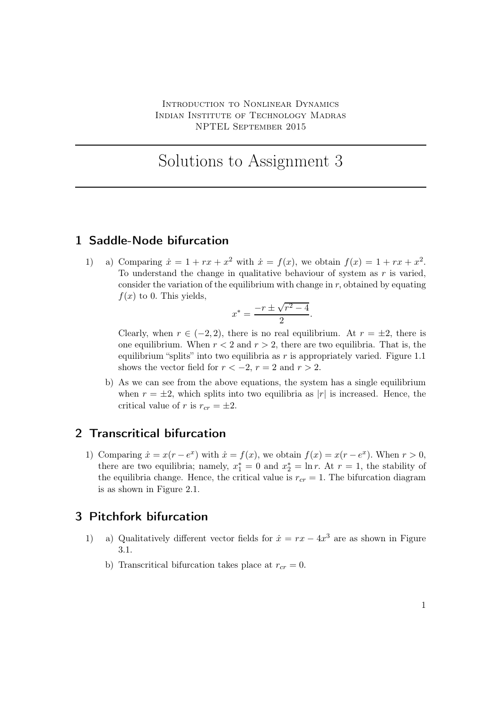# Solutions to Assignment 3

#### 1 Saddle-Node bifurcation

1) a) Comparing  $\dot{x} = 1 + rx + x^2$  with  $\dot{x} = f(x)$ , we obtain  $f(x) = 1 + rx + x^2$ . To understand the change in qualitative behaviour of system as  $r$  is varied, consider the variation of the equilibrium with change in  $r$ , obtained by equating  $f(x)$  to 0. This yields,

$$
x^* = \frac{-r \pm \sqrt{r^2 - 4}}{2}.
$$

Clearly, when  $r \in (-2, 2)$ , there is no real equilibrium. At  $r = \pm 2$ , there is one equilibrium. When  $r < 2$  and  $r > 2$ , there are two equilibria. That is, the equilibrium "splits" into two equilibria as r is appropriately varied. Figure 1.1 shows the vector field for  $r < -2$ ,  $r = 2$  and  $r > 2$ .

b) As we can see from the above equations, the system has a single equilibrium when  $r = \pm 2$ , which splits into two equilibria as |r| is increased. Hence, the critical value of r is  $r_{cr} = \pm 2$ .

### 2 Transcritical bifurcation

1) Comparing  $\dot{x} = x(r - e^x)$  with  $\dot{x} = f(x)$ , we obtain  $f(x) = x(r - e^x)$ . When  $r > 0$ , there are two equilibria; namely,  $x_1^* = 0$  and  $x_2^* = \ln r$ . At  $r = 1$ , the stability of the equilibria change. Hence, the critical value is  $r_{cr} = 1$ . The bifurcation diagram is as shown in Figure 2.1.

#### 3 Pitchfork bifurcation

- 1) a) Qualitatively different vector fields for  $\dot{x} = rx 4x^3$  are as shown in Figure 3.1.
	- b) Transcritical bifurcation takes place at  $r_{cr} = 0$ .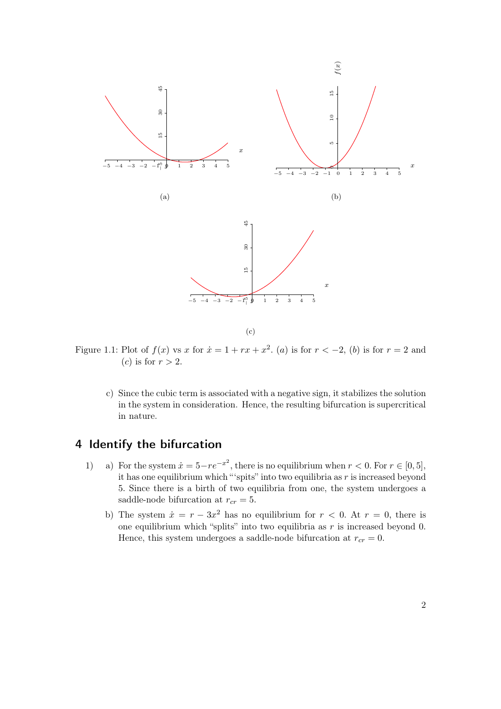

(c)

Figure 1.1: Plot of  $f(x)$  vs x for  $\dot{x} = 1 + rx + x^2$ . (a) is for  $r < -2$ , (b) is for  $r = 2$  and (c) is for  $r > 2$ .

c) Since the cubic term is associated with a negative sign, it stabilizes the solution in the system in consideration. Hence, the resulting bifurcation is supercritical in nature.

## 4 Identify the bifurcation

- 1) a) For the system  $\dot{x} = 5 re^{-x^2}$ , there is no equilibrium when  $r < 0$ . For  $r \in [0, 5]$ , it has one equilibrium which "'spits" into two equilibria as  $r$  is increased beyond 5. Since there is a birth of two equilibria from one, the system undergoes a saddle-node bifurcation at  $r_{cr} = 5$ .
	- b) The system  $\dot{x} = r 3x^2$  has no equilibrium for  $r < 0$ . At  $r = 0$ , there is one equilibrium which "splits" into two equilibria as  $r$  is increased beyond 0. Hence, this system undergoes a saddle-node bifurcation at  $r_{cr} = 0$ .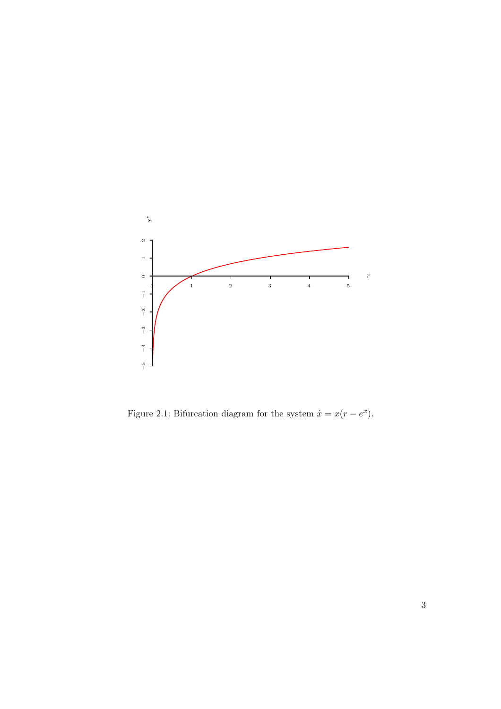

Figure 2.1: Bifurcation diagram for the system  $\dot{x} = x(r - e^x)$ .